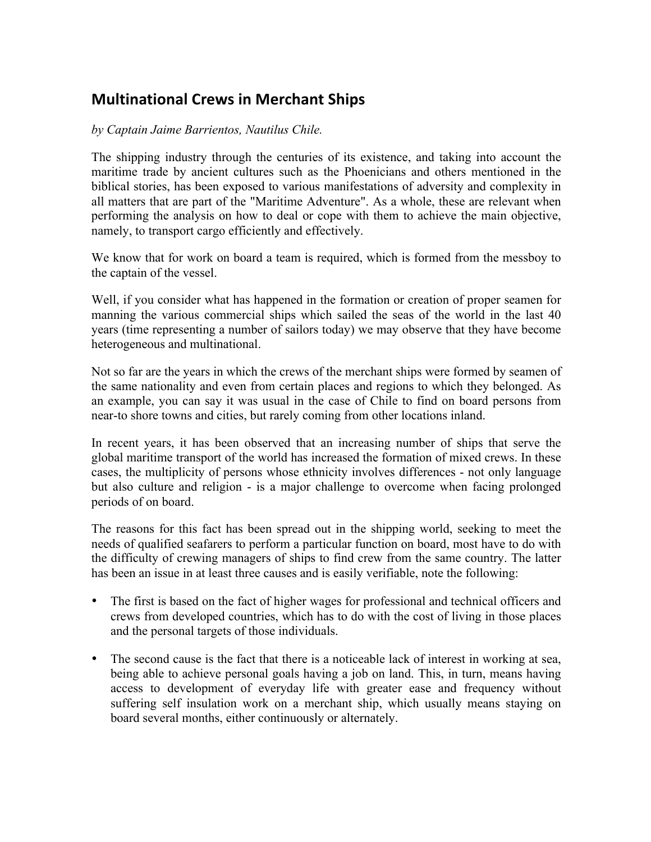## **Multinational Crews in Merchant Ships**

## *by Captain Jaime Barrientos, Nautilus Chile.*

The shipping industry through the centuries of its existence, and taking into account the maritime trade by ancient cultures such as the Phoenicians and others mentioned in the biblical stories, has been exposed to various manifestations of adversity and complexity in all matters that are part of the "Maritime Adventure". As a whole, these are relevant when performing the analysis on how to deal or cope with them to achieve the main objective, namely, to transport cargo efficiently and effectively.

We know that for work on board a team is required, which is formed from the messboy to the captain of the vessel.

Well, if you consider what has happened in the formation or creation of proper seamen for manning the various commercial ships which sailed the seas of the world in the last 40 years (time representing a number of sailors today) we may observe that they have become heterogeneous and multinational.

Not so far are the years in which the crews of the merchant ships were formed by seamen of the same nationality and even from certain places and regions to which they belonged. As an example, you can say it was usual in the case of Chile to find on board persons from near-to shore towns and cities, but rarely coming from other locations inland.

In recent years, it has been observed that an increasing number of ships that serve the global maritime transport of the world has increased the formation of mixed crews. In these cases, the multiplicity of persons whose ethnicity involves differences - not only language but also culture and religion - is a major challenge to overcome when facing prolonged periods of on board.

The reasons for this fact has been spread out in the shipping world, seeking to meet the needs of qualified seafarers to perform a particular function on board, most have to do with the difficulty of crewing managers of ships to find crew from the same country. The latter has been an issue in at least three causes and is easily verifiable, note the following:

- The first is based on the fact of higher wages for professional and technical officers and crews from developed countries, which has to do with the cost of living in those places and the personal targets of those individuals.
- The second cause is the fact that there is a noticeable lack of interest in working at sea, being able to achieve personal goals having a job on land. This, in turn, means having access to development of everyday life with greater ease and frequency without suffering self insulation work on a merchant ship, which usually means staying on board several months, either continuously or alternately.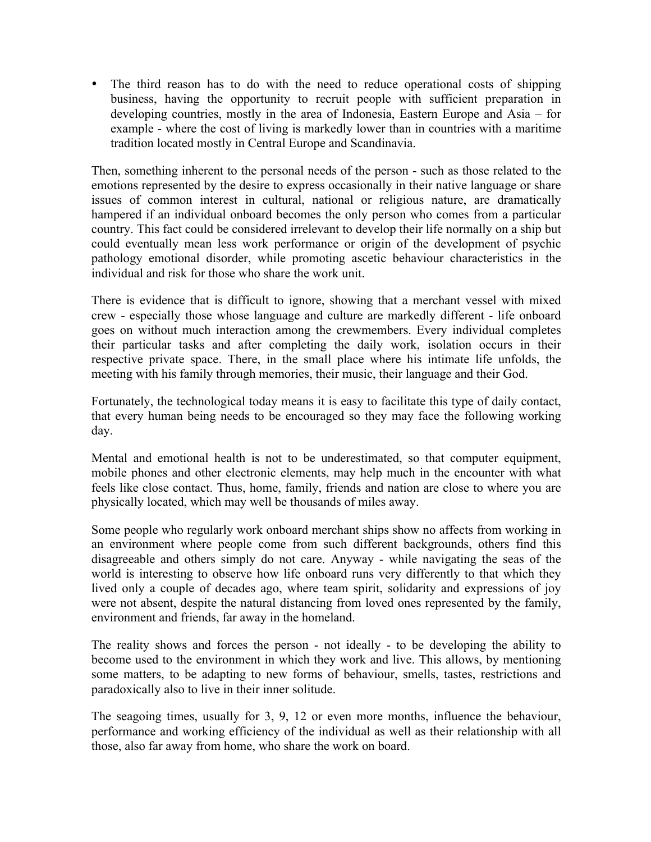• The third reason has to do with the need to reduce operational costs of shipping business, having the opportunity to recruit people with sufficient preparation in developing countries, mostly in the area of Indonesia, Eastern Europe and Asia – for example - where the cost of living is markedly lower than in countries with a maritime tradition located mostly in Central Europe and Scandinavia.

Then, something inherent to the personal needs of the person - such as those related to the emotions represented by the desire to express occasionally in their native language or share issues of common interest in cultural, national or religious nature, are dramatically hampered if an individual onboard becomes the only person who comes from a particular country. This fact could be considered irrelevant to develop their life normally on a ship but could eventually mean less work performance or origin of the development of psychic pathology emotional disorder, while promoting ascetic behaviour characteristics in the individual and risk for those who share the work unit.

There is evidence that is difficult to ignore, showing that a merchant vessel with mixed crew - especially those whose language and culture are markedly different - life onboard goes on without much interaction among the crewmembers. Every individual completes their particular tasks and after completing the daily work, isolation occurs in their respective private space. There, in the small place where his intimate life unfolds, the meeting with his family through memories, their music, their language and their God.

Fortunately, the technological today means it is easy to facilitate this type of daily contact, that every human being needs to be encouraged so they may face the following working day.

Mental and emotional health is not to be underestimated, so that computer equipment, mobile phones and other electronic elements, may help much in the encounter with what feels like close contact. Thus, home, family, friends and nation are close to where you are physically located, which may well be thousands of miles away.

Some people who regularly work onboard merchant ships show no affects from working in an environment where people come from such different backgrounds, others find this disagreeable and others simply do not care. Anyway - while navigating the seas of the world is interesting to observe how life onboard runs very differently to that which they lived only a couple of decades ago, where team spirit, solidarity and expressions of joy were not absent, despite the natural distancing from loved ones represented by the family, environment and friends, far away in the homeland.

The reality shows and forces the person - not ideally - to be developing the ability to become used to the environment in which they work and live. This allows, by mentioning some matters, to be adapting to new forms of behaviour, smells, tastes, restrictions and paradoxically also to live in their inner solitude.

The seagoing times, usually for 3, 9, 12 or even more months, influence the behaviour, performance and working efficiency of the individual as well as their relationship with all those, also far away from home, who share the work on board.